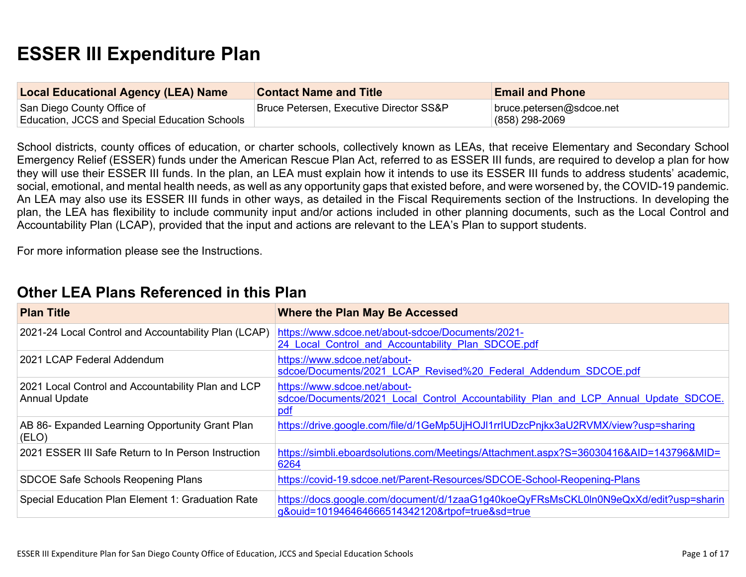# **ESSER III Expenditure Plan**

| <b>Local Educational Agency (LEA) Name</b>                                  | <b>Contact Name and Title</b>           | <b>Email and Phone</b>                       |
|-----------------------------------------------------------------------------|-----------------------------------------|----------------------------------------------|
| San Diego County Office of<br>Education, JCCS and Special Education Schools | Bruce Petersen, Executive Director SS&P | bruce.petersen@sdcoe.net<br>$(858)$ 298-2069 |

School districts, county offices of education, or charter schools, collectively known as LEAs, that receive Elementary and Secondary School Emergency Relief (ESSER) funds under the American Rescue Plan Act, referred to as ESSER III funds, are required to develop a plan for how they will use their ESSER III funds. In the plan, an LEA must explain how it intends to use its ESSER III funds to address students' academic, social, emotional, and mental health needs, as well as any opportunity gaps that existed before, and were worsened by, the COVID-19 pandemic. An LEA may also use its ESSER III funds in other ways, as detailed in the Fiscal Requirements section of the Instructions. In developing the plan, the LEA has flexibility to include community input and/or actions included in other planning documents, such as the Local Control and Accountability Plan (LCAP), provided that the input and actions are relevant to the LEA's Plan to support students.

For more information please see the Instructions.

## **Other LEA Plans [Referenced](#page-11-0) in this Plan**

| <b>Plan Title</b>                                                          | <b>Where the Plan May Be Accessed</b>                                                                                                   |
|----------------------------------------------------------------------------|-----------------------------------------------------------------------------------------------------------------------------------------|
| 2021-24 Local Control and Accountability Plan (LCAP)                       | https://www.sdcoe.net/about-sdcoe/Documents/2021-<br>24 Local Control and Accountability Plan SDCOE.pdf                                 |
| 2021 LCAP Federal Addendum                                                 | https://www.sdcoe.net/about-<br>sdcoe/Documents/2021 LCAP Revised%20 Federal Addendum SDCOE.pdf                                         |
| 2021 Local Control and Accountability Plan and LCP<br><b>Annual Update</b> | https://www.sdcoe.net/about-<br>sdcoe/Documents/2021 Local Control Accountability Plan and LCP Annual Update SDCOE.<br>pdf              |
| AB 86- Expanded Learning Opportunity Grant Plan<br>(ELO)                   | https://drive.google.com/file/d/1GeMp5UjHOJI1rrIUDzcPnjkx3aU2RVMX/view?usp=sharing                                                      |
| 2021 ESSER III Safe Return to In Person Instruction                        | https://simbli.eboardsolutions.com/Meetings/Attachment.aspx?S=36030416&AID=143796&MID=<br>6264                                          |
| SDCOE Safe Schools Reopening Plans                                         | https://covid-19.sdcoe.net/Parent-Resources/SDCOE-School-Reopening-Plans                                                                |
| Special Education Plan Element 1: Graduation Rate                          | https://docs.google.com/document/d/1zaaG1g40koeQyFRsMsCKL0ln0N9eQxXd/edit?usp=sharin<br>g&ouid=101946464666514342120&rtpof=true&sd=true |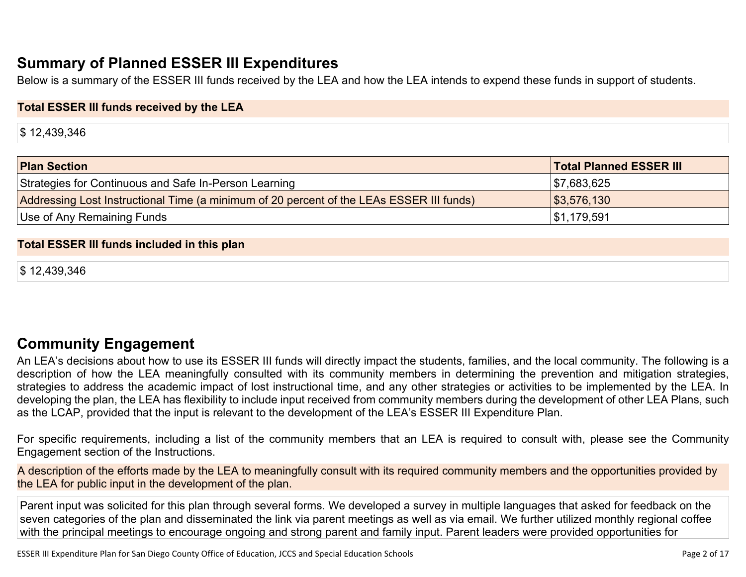# **Summary of Planned ESSER III [Expenditures](#page-11-1)**

Below is a summary of the ESSER III funds received by the LEA and how the LEA intends to expend these funds in support of students.

#### **Total ESSER III funds received by the LEA**

\$ 12,439,346

| <b>Plan Section</b>                                                                      | <b>Total Planned ESSER III</b> |
|------------------------------------------------------------------------------------------|--------------------------------|
| Strategies for Continuous and Safe In-Person Learning                                    | \$7,683,625                    |
| Addressing Lost Instructional Time (a minimum of 20 percent of the LEAs ESSER III funds) | \$3,576,130                    |
| Use of Any Remaining Funds                                                               | \$1,179,591                    |

#### **Total ESSER III funds included in this plan**

\$ 12,439,346

## **Community [Engagement](#page-12-0)**

An LEA's decisions about how to use its ESSER III funds will directly impact the students, families, and the local community. The following is a description of how the LEA meaningfully consulted with its community members in determining the prevention and mitigation strategies, strategies to address the academic impact of lost instructional time, and any other strategies or activities to be implemented by the LEA. In developing the plan, the LEA has flexibility to include input received from community members during the development of other LEA Plans, such as the LCAP, provided that the input is relevant to the development of the LEA's ESSER III Expenditure Plan.

For specific requirements, including a list of the community members that an LEA is required to consult with, please see the Community Engagement section of the Instructions.

A description of the efforts made by the LEA to meaningfully consult with its required community members and the opportunities provided by the LEA for public input in the development of the plan.

Parent input was solicited for this plan through several forms. We developed a survey in multiple languages that asked for feedback on the seven categories of the plan and disseminated the link via parent meetings as well as via email. We further utilized monthly regional coffee with the principal meetings to encourage ongoing and strong parent and family input. Parent leaders were provided opportunities for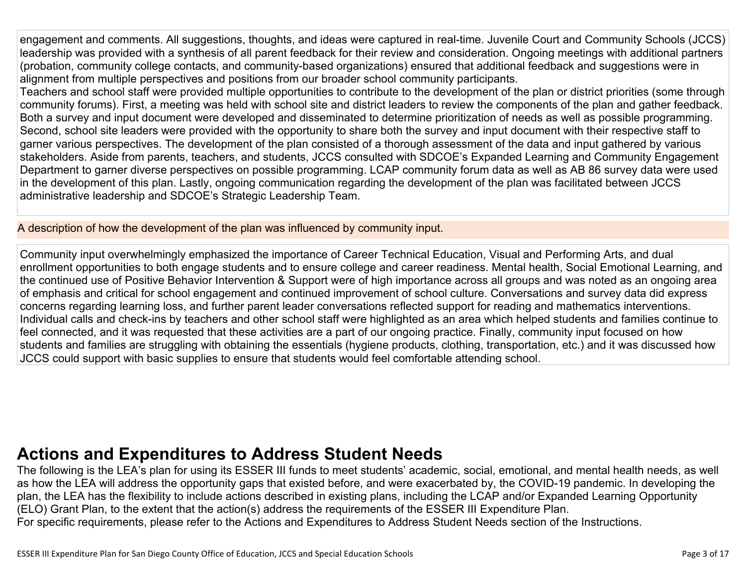engagement and comments. All suggestions, thoughts, and ideas were captured in real-time. Juvenile Court and Community Schools (JCCS) leadership was provided with a synthesis of all parent feedback for their review and consideration. Ongoing meetings with additional partners (probation, community college contacts, and community-based organizations) ensured that additional feedback and suggestions were in alignment from multiple perspectives and positions from our broader school community participants.

Teachers and school staff were provided multiple opportunities to contribute to the development of the plan or district priorities (some through community forums). First, a meeting was held with school site and district leaders to review the components of the plan and gather feedback. Both a survey and input document were developed and disseminated to determine prioritization of needs as well as possible programming. Second, school site leaders were provided with the opportunity to share both the survey and input document with their respective staff to garner various perspectives. The development of the plan consisted of a thorough assessment of the data and input gathered by various stakeholders. Aside from parents, teachers, and students, JCCS consulted with SDCOE's Expanded Learning and Community Engagement Department to garner diverse perspectives on possible programming. LCAP community forum data as well as AB 86 survey data were used in the development of this plan. Lastly, ongoing communication regarding the development of the plan was facilitated between JCCS administrative leadership and SDCOE's Strategic Leadership Team.

A description of how the development of the plan was influenced by community input.

Community input overwhelmingly emphasized the importance of Career Technical Education, Visual and Performing Arts, and dual enrollment opportunities to both engage students and to ensure college and career readiness. Mental health, Social Emotional Learning, and the continued use of Positive Behavior Intervention & Support were of high importance across all groups and was noted as an ongoing area of emphasis and critical for school engagement and continued improvement of school culture. Conversations and survey data did express concerns regarding learning loss, and further parent leader conversations reflected support for reading and mathematics interventions. Individual calls and check-ins by teachers and other school staff were highlighted as an area which helped students and families continue to feel connected, and it was requested that these activities are a part of our ongoing practice. Finally, community input focused on how students and families are struggling with obtaining the essentials (hygiene products, clothing, transportation, etc.) and it was discussed how JCCS could support with basic supplies to ensure that students would feel comfortable attending school.

# **Actions and [Expenditures](#page-14-0) to Address Student Needs**

The following is the LEA's plan for using its ESSER III funds to meet students' academic, social, emotional, and mental health needs, as well as how the LEA will address the opportunity gaps that existed before, and were exacerbated by, the COVID-19 pandemic. In developing the plan, the LEA has the flexibility to include actions described in existing plans, including the LCAP and/or Expanded Learning Opportunity (ELO) Grant Plan, to the extent that the action(s) address the requirements of the ESSER III Expenditure Plan. For specific requirements, please refer to the Actions and Expenditures to Address Student Needs section of the Instructions.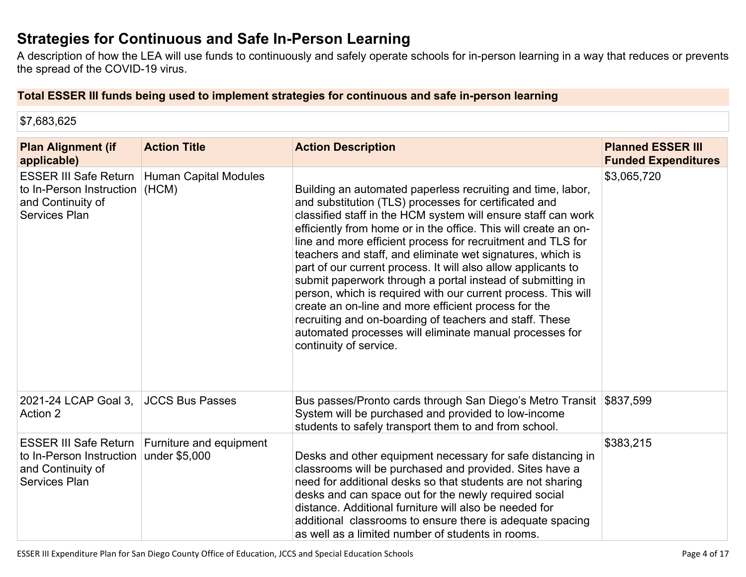## **Strategies for [Continuous](#page-14-1) and Safe In-Person Learning**

A description of how the LEA will use funds to continuously and safely operate schools for in-person learning in a way that reduces or prevents the spread of the COVID-19 virus.

#### **Total ESSER III funds being used to implement strategies for continuous and safe in-person learning**

\$7,683,625

| <b>Plan Alignment (if</b><br>applicable)                                                              | <b>Action Title</b>                      | <b>Action Description</b>                                                                                                                                                                                                                                                                                                                                                                                                                                                                                                                                                                                                                                                                                                                                                                     | <b>Planned ESSER III</b><br><b>Funded Expenditures</b> |
|-------------------------------------------------------------------------------------------------------|------------------------------------------|-----------------------------------------------------------------------------------------------------------------------------------------------------------------------------------------------------------------------------------------------------------------------------------------------------------------------------------------------------------------------------------------------------------------------------------------------------------------------------------------------------------------------------------------------------------------------------------------------------------------------------------------------------------------------------------------------------------------------------------------------------------------------------------------------|--------------------------------------------------------|
| <b>ESSER III Safe Return</b><br>to In-Person Instruction<br>and Continuity of<br><b>Services Plan</b> | <b>Human Capital Modules</b><br>(HCM)    | Building an automated paperless recruiting and time, labor,<br>and substitution (TLS) processes for certificated and<br>classified staff in the HCM system will ensure staff can work<br>efficiently from home or in the office. This will create an on-<br>line and more efficient process for recruitment and TLS for<br>teachers and staff, and eliminate wet signatures, which is<br>part of our current process. It will also allow applicants to<br>submit paperwork through a portal instead of submitting in<br>person, which is required with our current process. This will<br>create an on-line and more efficient process for the<br>recruiting and on-boarding of teachers and staff. These<br>automated processes will eliminate manual processes for<br>continuity of service. | \$3,065,720                                            |
| 2021-24 LCAP Goal 3,<br>Action 2                                                                      | <b>JCCS Bus Passes</b>                   | Bus passes/Pronto cards through San Diego's Metro Transit \$837,599<br>System will be purchased and provided to low-income<br>students to safely transport them to and from school.                                                                                                                                                                                                                                                                                                                                                                                                                                                                                                                                                                                                           |                                                        |
| <b>ESSER III Safe Return</b><br>to In-Person Instruction<br>and Continuity of<br><b>Services Plan</b> | Furniture and equipment<br>under \$5,000 | Desks and other equipment necessary for safe distancing in<br>classrooms will be purchased and provided. Sites have a<br>need for additional desks so that students are not sharing<br>desks and can space out for the newly required social<br>distance. Additional furniture will also be needed for<br>additional classrooms to ensure there is adequate spacing<br>as well as a limited number of students in rooms.                                                                                                                                                                                                                                                                                                                                                                      | \$383,215                                              |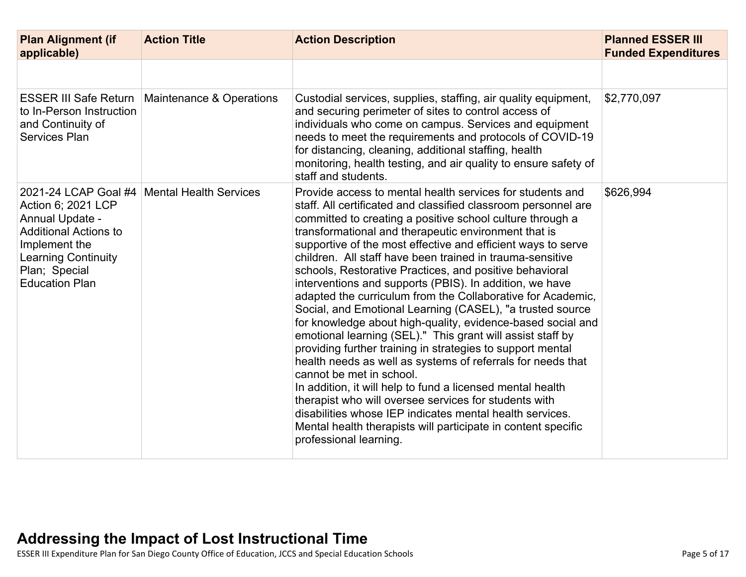| <b>Plan Alignment (if</b><br>applicable)                                                                                                                       | <b>Action Title</b>                           | <b>Action Description</b>                                                                                                                                                                                                                                                                                                                                                                                                                                                                                                                                                                                                                                                                                                                                                                                                                                                                                                                                                                                                                                                                                                                                                                           | <b>Planned ESSER III</b><br><b>Funded Expenditures</b> |
|----------------------------------------------------------------------------------------------------------------------------------------------------------------|-----------------------------------------------|-----------------------------------------------------------------------------------------------------------------------------------------------------------------------------------------------------------------------------------------------------------------------------------------------------------------------------------------------------------------------------------------------------------------------------------------------------------------------------------------------------------------------------------------------------------------------------------------------------------------------------------------------------------------------------------------------------------------------------------------------------------------------------------------------------------------------------------------------------------------------------------------------------------------------------------------------------------------------------------------------------------------------------------------------------------------------------------------------------------------------------------------------------------------------------------------------------|--------------------------------------------------------|
|                                                                                                                                                                |                                               |                                                                                                                                                                                                                                                                                                                                                                                                                                                                                                                                                                                                                                                                                                                                                                                                                                                                                                                                                                                                                                                                                                                                                                                                     |                                                        |
| <b>ESSER III Safe Return</b><br>to In-Person Instruction<br>and Continuity of<br><b>Services Plan</b>                                                          | Maintenance & Operations                      | Custodial services, supplies, staffing, air quality equipment,<br>and securing perimeter of sites to control access of<br>individuals who come on campus. Services and equipment<br>needs to meet the requirements and protocols of COVID-19<br>for distancing, cleaning, additional staffing, health<br>monitoring, health testing, and air quality to ensure safety of<br>staff and students.                                                                                                                                                                                                                                                                                                                                                                                                                                                                                                                                                                                                                                                                                                                                                                                                     | \$2,770,097                                            |
| Action 6; 2021 LCP<br>Annual Update -<br><b>Additional Actions to</b><br>Implement the<br><b>Learning Continuity</b><br>Plan; Special<br><b>Education Plan</b> | 2021-24 LCAP Goal #4   Mental Health Services | Provide access to mental health services for students and<br>staff. All certificated and classified classroom personnel are<br>committed to creating a positive school culture through a<br>transformational and therapeutic environment that is<br>supportive of the most effective and efficient ways to serve<br>children. All staff have been trained in trauma-sensitive<br>schools, Restorative Practices, and positive behavioral<br>interventions and supports (PBIS). In addition, we have<br>adapted the curriculum from the Collaborative for Academic,<br>Social, and Emotional Learning (CASEL), "a trusted source<br>for knowledge about high-quality, evidence-based social and<br>emotional learning (SEL)." This grant will assist staff by<br>providing further training in strategies to support mental<br>health needs as well as systems of referrals for needs that<br>cannot be met in school.<br>In addition, it will help to fund a licensed mental health<br>therapist who will oversee services for students with<br>disabilities whose IEP indicates mental health services.<br>Mental health therapists will participate in content specific<br>professional learning. | \$626,994                                              |

ESSER III Expenditure Plan for San Diego County Office of Education, JCCS and Special Education Schools Page 5 of 17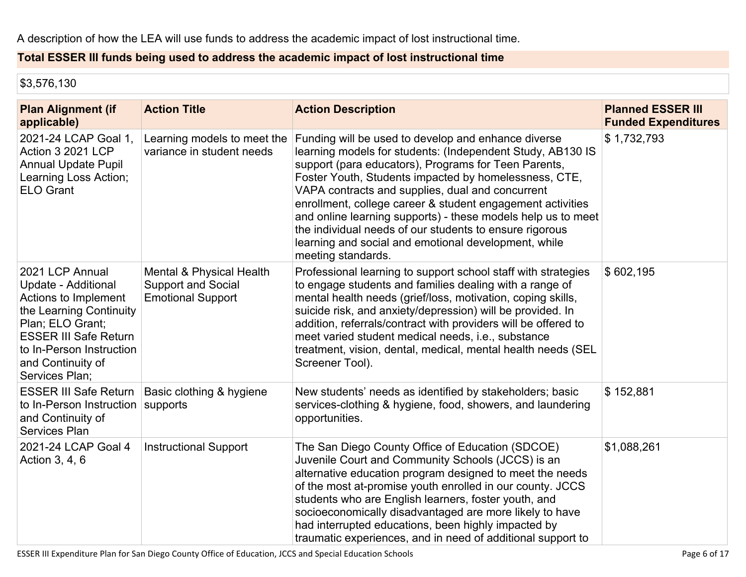### **Total ESSER III funds being used to address the academic impact of lost instructional time**

\$3,576,130

| <b>Plan Alignment (if</b><br>applicable)                                                                                                                                                                         | <b>Action Title</b>                                                               | <b>Action Description</b>                                                                                                                                                                                                                                                                                                                                                                                                                                                                                                                                     | <b>Planned ESSER III</b><br><b>Funded Expenditures</b> |
|------------------------------------------------------------------------------------------------------------------------------------------------------------------------------------------------------------------|-----------------------------------------------------------------------------------|---------------------------------------------------------------------------------------------------------------------------------------------------------------------------------------------------------------------------------------------------------------------------------------------------------------------------------------------------------------------------------------------------------------------------------------------------------------------------------------------------------------------------------------------------------------|--------------------------------------------------------|
| 2021-24 LCAP Goal 1,<br>Action 3 2021 LCP<br><b>Annual Update Pupil</b><br>Learning Loss Action;<br><b>ELO Grant</b>                                                                                             | Learning models to meet the<br>variance in student needs                          | Funding will be used to develop and enhance diverse<br>learning models for students: (Independent Study, AB130 IS<br>support (para educators), Programs for Teen Parents,<br>Foster Youth, Students impacted by homelessness, CTE,<br>VAPA contracts and supplies, dual and concurrent<br>enrollment, college career & student engagement activities<br>and online learning supports) - these models help us to meet<br>the individual needs of our students to ensure rigorous<br>learning and social and emotional development, while<br>meeting standards. | \$1,732,793                                            |
| 2021 LCP Annual<br>Update - Additional<br>Actions to Implement<br>the Learning Continuity<br>Plan; ELO Grant;<br><b>ESSER III Safe Return</b><br>to In-Person Instruction<br>and Continuity of<br>Services Plan; | Mental & Physical Health<br><b>Support and Social</b><br><b>Emotional Support</b> | Professional learning to support school staff with strategies<br>to engage students and families dealing with a range of<br>mental health needs (grief/loss, motivation, coping skills,<br>suicide risk, and anxiety/depression) will be provided. In<br>addition, referrals/contract with providers will be offered to<br>meet varied student medical needs, i.e., substance<br>treatment, vision, dental, medical, mental health needs (SEL<br>Screener Tool).                                                                                              | \$602,195                                              |
| <b>ESSER III Safe Return</b><br>to In-Person Instruction<br>and Continuity of<br><b>Services Plan</b>                                                                                                            | Basic clothing & hygiene<br>supports                                              | New students' needs as identified by stakeholders; basic<br>services-clothing & hygiene, food, showers, and laundering<br>opportunities.                                                                                                                                                                                                                                                                                                                                                                                                                      | \$152,881                                              |
| 2021-24 LCAP Goal 4<br>Action 3, 4, 6                                                                                                                                                                            | <b>Instructional Support</b>                                                      | The San Diego County Office of Education (SDCOE)<br>Juvenile Court and Community Schools (JCCS) is an<br>alternative education program designed to meet the needs<br>of the most at-promise youth enrolled in our county. JCCS<br>students who are English learners, foster youth, and<br>socioeconomically disadvantaged are more likely to have<br>had interrupted educations, been highly impacted by<br>traumatic experiences, and in need of additional support to                                                                                       | \$1,088,261                                            |

ESSER III Expenditure Plan for San Diego County Office of Education, JCCS and Special Education Schools Page 6 of 17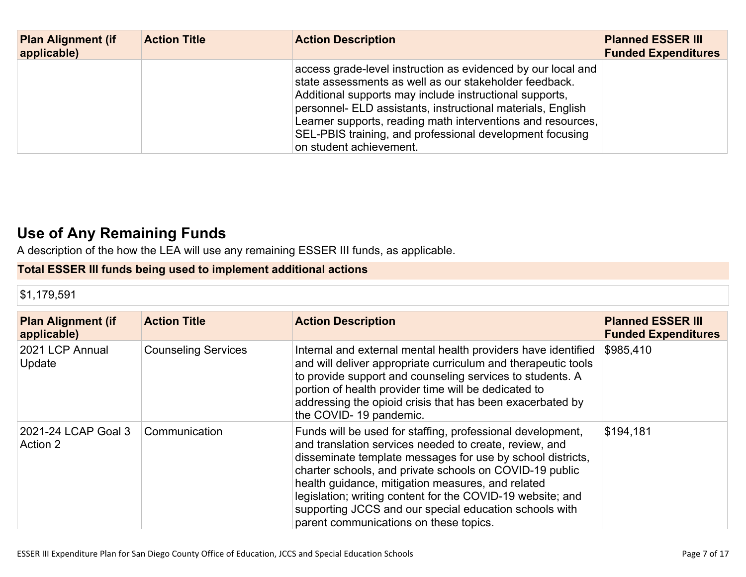| <b>Plan Alignment (if</b><br>applicable) | <b>Action Title</b> | <b>Action Description</b>                                                                                                                                                                                                                                                                                                                                                                              | <b>Planned ESSER III</b><br><b>Funded Expenditures</b> |
|------------------------------------------|---------------------|--------------------------------------------------------------------------------------------------------------------------------------------------------------------------------------------------------------------------------------------------------------------------------------------------------------------------------------------------------------------------------------------------------|--------------------------------------------------------|
|                                          |                     | access grade-level instruction as evidenced by our local and<br>state assessments as well as our stakeholder feedback.<br>Additional supports may include instructional supports,<br>personnel- ELD assistants, instructional materials, English<br>Learner supports, reading math interventions and resources,<br>SEL-PBIS training, and professional development focusing<br>on student achievement. |                                                        |

# **Use of Any [Remaining](#page-15-1) Fund[s](#page-15-1)**

A description of the how the LEA will use any remaining ESSER III funds, as applicable.

## **Total ESSER III funds being used to implement additional actions**

### \$1,179,591

| <b>Plan Alignment (if</b><br>applicable) | <b>Action Title</b>        | <b>Action Description</b>                                                                                                                                                                                                                                                                                                                                                                                                                                            | <b>Planned ESSER III</b><br><b>Funded Expenditures</b> |
|------------------------------------------|----------------------------|----------------------------------------------------------------------------------------------------------------------------------------------------------------------------------------------------------------------------------------------------------------------------------------------------------------------------------------------------------------------------------------------------------------------------------------------------------------------|--------------------------------------------------------|
| 2021 LCP Annual<br>Update                | <b>Counseling Services</b> | Internal and external mental health providers have identified<br>and will deliver appropriate curriculum and therapeutic tools<br>to provide support and counseling services to students. A<br>portion of health provider time will be dedicated to<br>addressing the opioid crisis that has been exacerbated by<br>the COVID-19 pandemic.                                                                                                                           | \$985,410                                              |
| 2021-24 LCAP Goal 3<br>Action 2          | Communication              | Funds will be used for staffing, professional development,<br>and translation services needed to create, review, and<br>disseminate template messages for use by school districts,<br>charter schools, and private schools on COVID-19 public<br>health guidance, mitigation measures, and related<br>legislation; writing content for the COVID-19 website; and<br>supporting JCCS and our special education schools with<br>parent communications on these topics. | \$194,181                                              |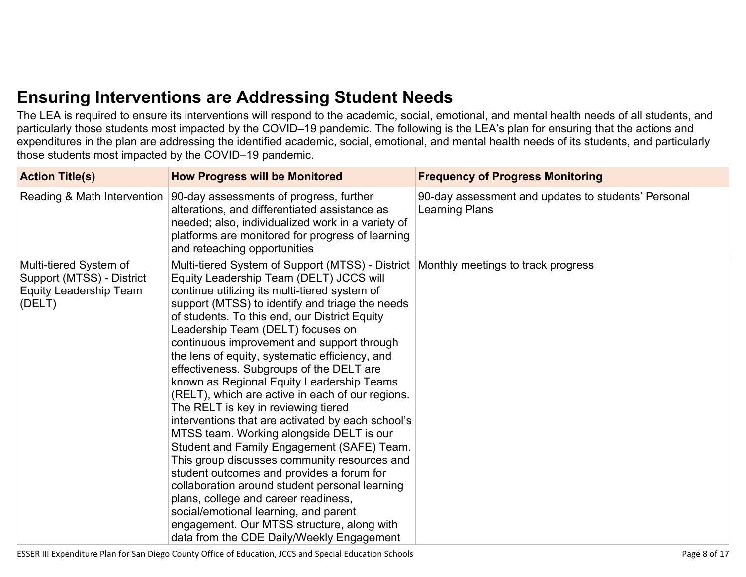# **Ensuring [Interventions](#page-15-2) are Addressing Student Need[s](#page-15-2)**

The LEA is required to ensure its interventions will respond to the academic, social, emotional, and mental health needs of all students, and particularly those students most impacted by the COVID–19 pandemic. The following is the LEA's plan for ensuring that the actions and expenditures in the plan are addressing the identified academic, social, emotional, and mental health needs of its students, and particularly those students most impacted by the COVID–19 pandemic.

| <b>Action Title(s)</b>                                                                         | <b>How Progress will be Monitored</b>                                                                                                                                                                                                                                                                                                                                                                                                                                                                                                                                                                                                                                                                                                                                                                                                                                                                                                                                                                                                                                                    | <b>Frequency of Progress Monitoring</b>                               |
|------------------------------------------------------------------------------------------------|------------------------------------------------------------------------------------------------------------------------------------------------------------------------------------------------------------------------------------------------------------------------------------------------------------------------------------------------------------------------------------------------------------------------------------------------------------------------------------------------------------------------------------------------------------------------------------------------------------------------------------------------------------------------------------------------------------------------------------------------------------------------------------------------------------------------------------------------------------------------------------------------------------------------------------------------------------------------------------------------------------------------------------------------------------------------------------------|-----------------------------------------------------------------------|
| Reading & Math Intervention                                                                    | 90-day assessments of progress, further<br>alterations, and differentiated assistance as<br>needed; also, individualized work in a variety of<br>platforms are monitored for progress of learning<br>and reteaching opportunities                                                                                                                                                                                                                                                                                                                                                                                                                                                                                                                                                                                                                                                                                                                                                                                                                                                        | 90-day assessment and updates to students' Personal<br>Learning Plans |
| Multi-tiered System of<br>Support (MTSS) - District<br><b>Equity Leadership Team</b><br>(DELT) | Multi-tiered System of Support (MTSS) - District   Monthly meetings to track progress<br>Equity Leadership Team (DELT) JCCS will<br>continue utilizing its multi-tiered system of<br>support (MTSS) to identify and triage the needs<br>of students. To this end, our District Equity<br>Leadership Team (DELT) focuses on<br>continuous improvement and support through<br>the lens of equity, systematic efficiency, and<br>effectiveness. Subgroups of the DELT are<br>known as Regional Equity Leadership Teams<br>(RELT), which are active in each of our regions.<br>The RELT is key in reviewing tiered<br>interventions that are activated by each school's<br>MTSS team. Working alongside DELT is our<br>Student and Family Engagement (SAFE) Team.<br>This group discusses community resources and<br>student outcomes and provides a forum for<br>collaboration around student personal learning<br>plans, college and career readiness,<br>social/emotional learning, and parent<br>engagement. Our MTSS structure, along with<br>data from the CDE Daily/Weekly Engagement |                                                                       |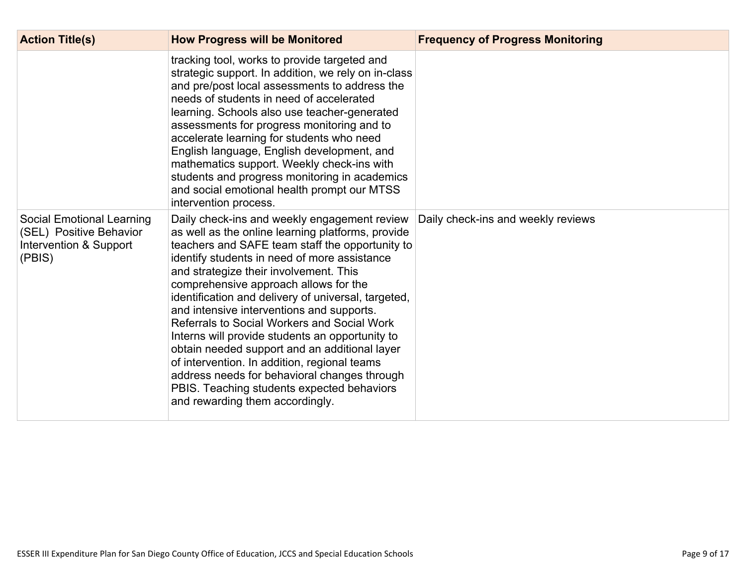| <b>Action Title(s)</b>                                                                          | <b>How Progress will be Monitored</b>                                                                                                                                                                                                                                                                                                                                                                                                                                                                                                                                                                                                                                                                                           | <b>Frequency of Progress Monitoring</b> |
|-------------------------------------------------------------------------------------------------|---------------------------------------------------------------------------------------------------------------------------------------------------------------------------------------------------------------------------------------------------------------------------------------------------------------------------------------------------------------------------------------------------------------------------------------------------------------------------------------------------------------------------------------------------------------------------------------------------------------------------------------------------------------------------------------------------------------------------------|-----------------------------------------|
|                                                                                                 | tracking tool, works to provide targeted and<br>strategic support. In addition, we rely on in-class<br>and pre/post local assessments to address the<br>needs of students in need of accelerated<br>learning. Schools also use teacher-generated<br>assessments for progress monitoring and to<br>accelerate learning for students who need<br>English language, English development, and<br>mathematics support. Weekly check-ins with<br>students and progress monitoring in academics<br>and social emotional health prompt our MTSS<br>intervention process.                                                                                                                                                                |                                         |
| <b>Social Emotional Learning</b><br>(SEL) Positive Behavior<br>Intervention & Support<br>(PBIS) | Daily check-ins and weekly engagement review<br>as well as the online learning platforms, provide<br>teachers and SAFE team staff the opportunity to<br>identify students in need of more assistance<br>and strategize their involvement. This<br>comprehensive approach allows for the<br>identification and delivery of universal, targeted,<br>and intensive interventions and supports.<br>Referrals to Social Workers and Social Work<br>Interns will provide students an opportunity to<br>obtain needed support and an additional layer<br>of intervention. In addition, regional teams<br>address needs for behavioral changes through<br>PBIS. Teaching students expected behaviors<br>and rewarding them accordingly. | Daily check-ins and weekly reviews      |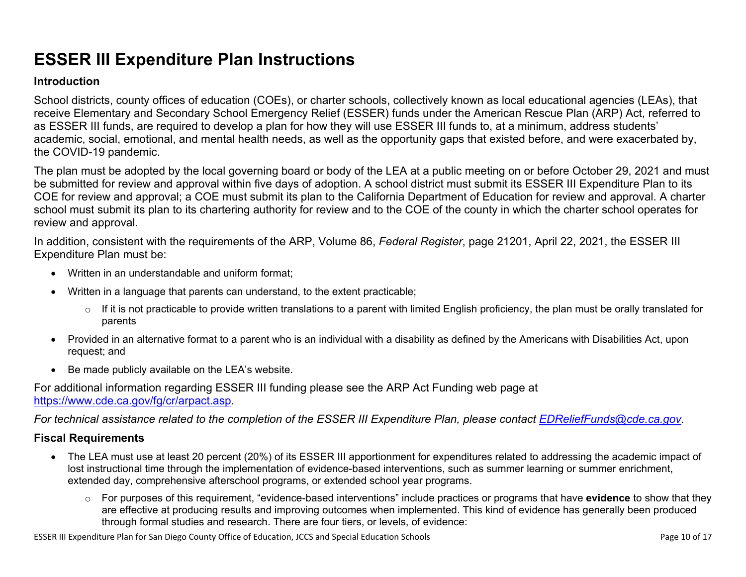# **ESSER III Expenditure Plan Instructions**

#### **Introduction**

School districts, county offices of education (COEs), or charter schools, collectively known as local educational agencies (LEAs), that receive Elementary and Secondary School Emergency Relief (ESSER) funds under the American Rescue Plan (ARP) Act, referred to as ESSER III funds, are required to develop a plan for how they will use ESSER III funds to, at a minimum, address students' academic, social, emotional, and mental health needs, as well as the opportunity gaps that existed before, and were exacerbated by, the COVID-19 pandemic.

The plan must be adopted by the local governing board or body of the LEA at a public meeting on or before October 29, 2021 and must be submitted for review and approval within five days of adoption. A school district must submit its ESSER III Expenditure Plan to its COE for review and approval; a COE must submit its plan to the California Department of Education for review and approval. A charter school must submit its plan to its chartering authority for review and to the COE of the county in which the charter school operates for review and approval.

In addition, consistent with the requirements of the ARP, Volume 86, *Federal Register*, page 21201, April 22, 2021, the ESSER III Expenditure Plan must be:

- Written in an understandable and uniform format;
- Written in a language that parents can understand, to the extent practicable;
	- $\circ$  If it is not practicable to provide written translations to a parent with limited English proficiency, the plan must be orally translated for parents
- Provided in an alternative format to a parent who is an individual with a disability as defined by the Americans with Disabilities Act, upon request; and
- Be made publicly available on the LEA's website.

For additional information regarding ESSER III funding please see the ARP Act Funding web page at <https://www.cde.ca.gov/fg/cr/arpact.asp>.

For technical assistance related to the completion of the ESSER III Expenditure Plan, please contact [EDReliefFunds@cde.ca.gov](mailto:EDReliefFunds@cde.ca.gov).

### **Fiscal Requirements**

- The LEA must use at least 20 percent (20%) of its ESSER III apportionment for expenditures related to addressing the academic impact of lost instructional time through the implementation of evidence-based interventions, such as summer learning or summer enrichment, extended day, comprehensive afterschool programs, or extended school year programs.
	- o For purposes of this requirement, "evidence-based interventions" include practices or programs that have **evidence** to show that they are effective at producing results and improving outcomes when implemented. This kind of evidence has generally been produced through formal studies and research. There are four tiers, or levels, of evidence:

ESSER III Expenditure Plan for San Diego County Office of Education, JCCS and Special Education Schools Page 10 of 17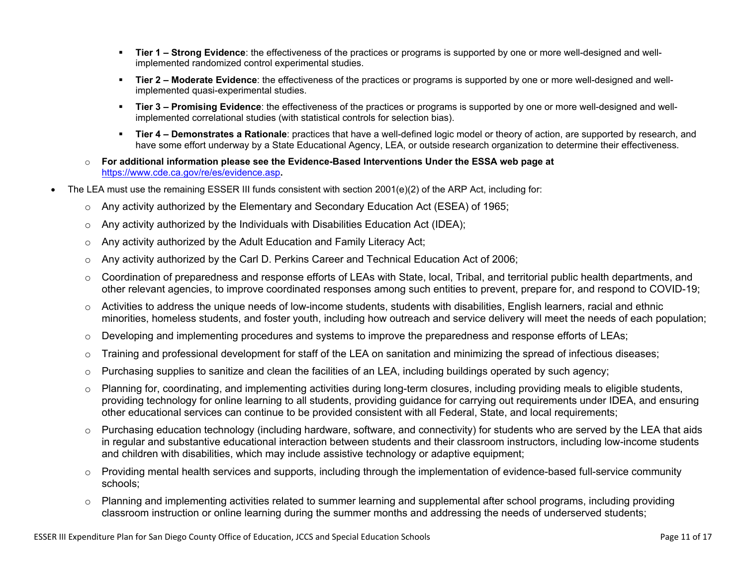- **Tier 1 – Strong Evidence**: the effectiveness of the practices or programs is supported by one or more well-designed and wellimplemented randomized control experimental studies.
- **Tier 2 – Moderate Evidence**: the effectiveness of the practices or programs is supported by one or more well-designed and wellimplemented quasi-experimental studies.
- **Tier 3 – Promising Evidence**: the effectiveness of the practices or programs is supported by one or more well-designed and wellimplemented correlational studies (with statistical controls for selection bias).
- **Tier 4 – Demonstrates a Rationale**: practices that have a well-defined logic model or theory of action, are supported by research, and have some effort underway by a State Educational Agency, LEA, or outside research organization to determine their effectiveness.
- o **For additional information please see the Evidence-Based Interventions Under the ESSA web page at** <https://www.cde.ca.gov/re/es/evidence.asp>**.**
- The LEA must use the remaining ESSER III funds consistent with section 2001(e)(2) of the ARP Act, including for:
	- $\circ$  Any activity authorized by the Elementary and Secondary Education Act (ESEA) of 1965;
	- $\circ$  Any activity authorized by the Individuals with Disabilities Education Act (IDEA);
	- o Any activity authorized by the Adult Education and Family Literacy Act;
	- $\circ$  Any activity authorized by the Carl D. Perkins Career and Technical Education Act of 2006;
	- $\circ$  Coordination of preparedness and response efforts of LEAs with State, local, Tribal, and territorial public health departments, and other relevant agencies, to improve coordinated responses among such entities to prevent, prepare for, and respond to COVID-19;
	- $\circ$  Activities to address the unique needs of low-income students, students with disabilities, English learners, racial and ethnic minorities, homeless students, and foster youth, including how outreach and service delivery will meet the needs of each population;
	- o Developing and implementing procedures and systems to improve the preparedness and response efforts of LEAs;
	- $\circ$  Training and professional development for staff of the LEA on sanitation and minimizing the spread of infectious diseases;
	- $\circ$  Purchasing supplies to sanitize and clean the facilities of an LEA, including buildings operated by such agency;
	- $\circ$  Planning for, coordinating, and implementing activities during long-term closures, including providing meals to eligible students, providing technology for online learning to all students, providing guidance for carrying out requirements under IDEA, and ensuring other educational services can continue to be provided consistent with all Federal, State, and local requirements;
	- $\circ$  Purchasing education technology (including hardware, software, and connectivity) for students who are served by the LEA that aids in regular and substantive educational interaction between students and their classroom instructors, including low-income students and children with disabilities, which may include assistive technology or adaptive equipment;
	- $\circ$  Providing mental health services and supports, including through the implementation of evidence-based full-service community schools;
	- o Planning and implementing activities related to summer learning and supplemental after school programs, including providing classroom instruction or online learning during the summer months and addressing the needs of underserved students;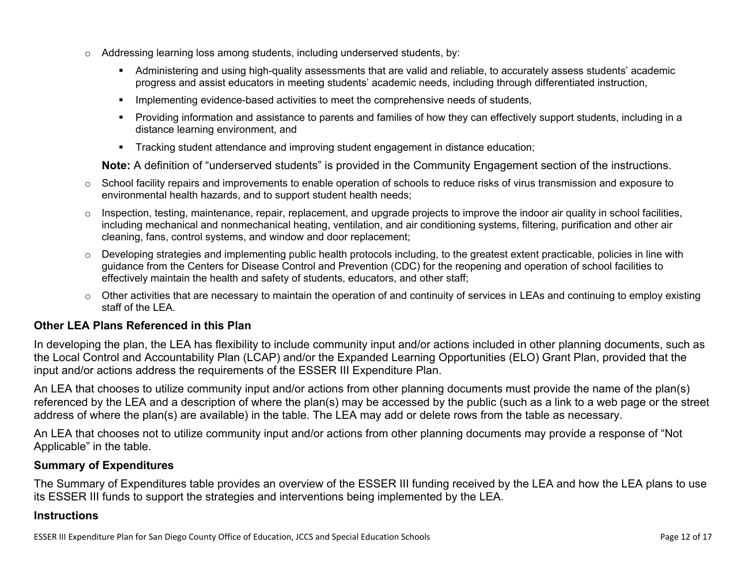- $\circ$  Addressing learning loss among students, including underserved students, by:
	- Administering and using high-quality assessments that are valid and reliable, to accurately assess students' academic progress and assist educators in meeting students' academic needs, including through differentiated instruction,
	- **IMPLEMENTER IMPLEMENT LIME STARK IMPLEMENT IMPLEMENT IMPLY** Implementing evidents,
	- Providing information and assistance to parents and families of how they can effectively support students, including in a distance learning environment, and
	- Tracking student attendance and improving student engagement in distance education;

**Note:** A definition of "underserved students" is provided in the Community Engagement section of the instructions.

- $\circ$  School facility repairs and improvements to enable operation of schools to reduce risks of virus transmission and exposure to environmental health hazards, and to support student health needs;
- $\circ$  Inspection, testing, maintenance, repair, replacement, and upgrade projects to improve the indoor air quality in school facilities, including mechanical and nonmechanical heating, ventilation, and air conditioning systems, filtering, purification and other air cleaning, fans, control systems, and window and door replacement;
- $\circ$  Developing strategies and implementing public health protocols including, to the greatest extent practicable, policies in line with guidance from the Centers for Disease Control and Prevention (CDC) for the reopening and operation of school facilities to effectively maintain the health and safety of students, educators, and other staff;
- $\circ$  Other activities that are necessary to maintain the operation of and continuity of services in LEAs and continuing to employ existing staff of the LEA.

### <span id="page-11-0"></span>**Other LEA Plans Referenced in this Plan**

In developing the plan, the LEA has flexibility to include community input and/or actions included in other planning documents, such as the Local Control and Accountability Plan (LCAP) and/or the Expanded Learning Opportunities (ELO) Grant Plan, provided that the input and/or actions address the requirements of the ESSER III Expenditure Plan.

An LEA that chooses to utilize community input and/or actions from other planning documents must provide the name of the plan(s) referenced by the LEA and a description of where the plan(s) may be accessed by the public (such as a link to a web page or the street address of where the plan(s) are available) in the table. The LEA may add or delete rows from the table as necessary.

An LEA that chooses not to utilize community input and/or actions from other planning documents may provide a response of "Not Applicable" in the table.

#### <span id="page-11-1"></span>**Summary of Expenditures**

The Summary of Expenditures table provides an overview of the ESSER III funding received by the LEA and how the LEA plans to use its ESSER III funds to support the strategies and interventions being implemented by the LEA.

#### **Instructions**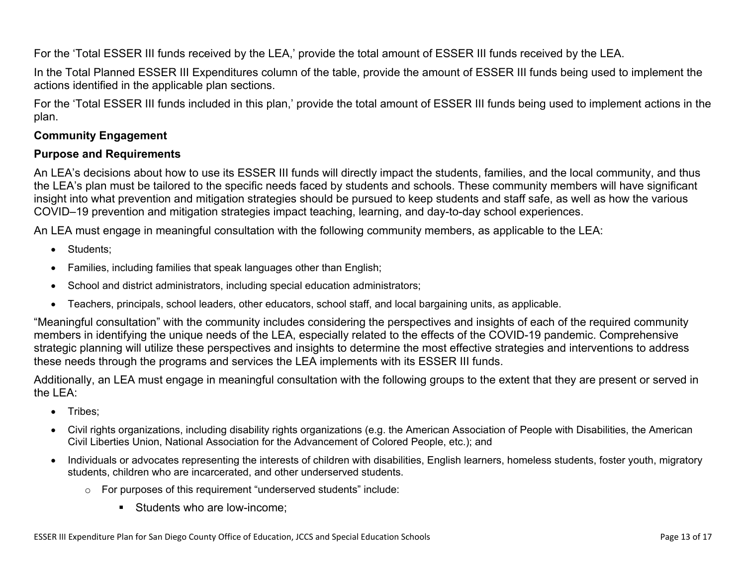For the 'Total ESSER III funds received by the LEA,' provide the total amount of ESSER III funds received by the LEA.

In the Total Planned ESSER III Expenditures column of the table, provide the amount of ESSER III funds being used to implement the actions identified in the applicable plan sections.

For the 'Total ESSER III funds included in this plan,' provide the total amount of ESSER III funds being used to implement actions in the plan.

### <span id="page-12-0"></span>**Community Engagement**

### **Purpose and Requirements**

An LEA's decisions about how to use its ESSER III funds will directly impact the students, families, and the local community, and thus the LEA's plan must be tailored to the specific needs faced by students and schools. These community members will have significant insight into what prevention and mitigation strategies should be pursued to keep students and staff safe, as well as how the various COVID–19 prevention and mitigation strategies impact teaching, learning, and day-to-day school experiences.

An LEA must engage in meaningful consultation with the following community members, as applicable to the LEA:

- Students:
- Families, including families that speak languages other than English;
- School and district administrators, including special education administrators;
- Teachers, principals, school leaders, other educators, school staff, and local bargaining units, as applicable.

"Meaningful consultation" with the community includes considering the perspectives and insights of each of the required community members in identifying the unique needs of the LEA, especially related to the effects of the COVID-19 pandemic. Comprehensive strategic planning will utilize these perspectives and insights to determine the most effective strategies and interventions to address these needs through the programs and services the LEA implements with its ESSER III funds.

Additionally, an LEA must engage in meaningful consultation with the following groups to the extent that they are present or served in the LEA:

- Tribes;
- Civil rights organizations, including disability rights organizations (e.g. the American Association of People with Disabilities, the American Civil Liberties Union, National Association for the Advancement of Colored People, etc.); and
- Individuals or advocates representing the interests of children with disabilities, English learners, homeless students, foster youth, migratory students, children who are incarcerated, and other underserved students.
	- o For purposes of this requirement "underserved students" include:
		- **Students who are low-income:**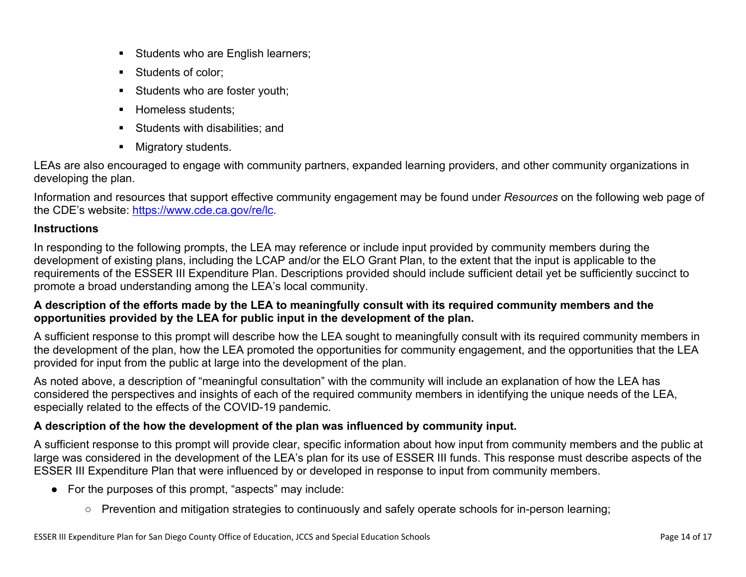- Students who are English learners;
- Students of color:
- Students who are foster youth;
- Homeless students;
- **Students with disabilities: and**
- **Migratory students.**

LEAs are also encouraged to engage with community partners, expanded learning providers, and other community organizations in developing the plan.

Information and resources that support effective community engagement may be found under *Resources* on the following web page of the CDE's website: <https://www.cde.ca.gov/re/lc>.

### **Instructions**

In responding to the following prompts, the LEA may reference or include input provided by community members during the development of existing plans, including the LCAP and/or the ELO Grant Plan, to the extent that the input is applicable to the requirements of the ESSER III Expenditure Plan. Descriptions provided should include sufficient detail yet be sufficiently succinct to promote a broad understanding among the LEA's local community.

### A description of the efforts made by the LEA to meaningfully consult with its required community members and the **opportunities provided by the LEA for public input in the development of the plan.**

A sufficient response to this prompt will describe how the LEA sought to meaningfully consult with its required community members in the development of the plan, how the LEA promoted the opportunities for community engagement, and the opportunities that the LEA provided for input from the public at large into the development of the plan.

As noted above, a description of "meaningful consultation" with the community will include an explanation of how the LEA has considered the perspectives and insights of each of the required community members in identifying the unique needs of the LEA, especially related to the effects of the COVID-19 pandemic.

### **A description of the how the development of the plan was influenced by community input.**

A sufficient response to this prompt will provide clear, specific information about how input from community members and the public at large was considered in the development of the LEA's plan for its use of ESSER III funds. This response must describe aspects of the ESSER III Expenditure Plan that were influenced by or developed in response to input from community members.

- For the purposes of this prompt, "aspects" may include:
	- Prevention and mitigation strategies to continuously and safely operate schools for in-person learning;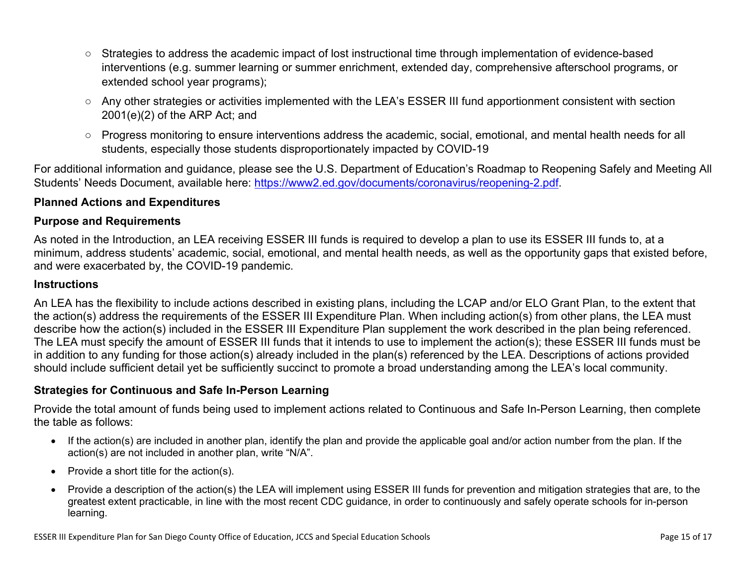- Strategies to address the academic impact of lost instructional time through implementation of evidence-based interventions (e.g. summer learning or summer enrichment, extended day, comprehensive afterschool programs, or extended school year programs);
- Any other strategies or activities implemented with the LEA's ESSER III fund apportionment consistent with section 2001(e)(2) of the ARP Act; and
- Progress monitoring to ensure interventions address the academic, social, emotional, and mental health needs for all students, especially those students disproportionately impacted by COVID-19

For additional information and guidance, please see the U.S. Department of Education's Roadmap to Reopening Safely and Meeting All Students' Needs Document, available here: [https://www2.ed.gov/documents/coronavirus/reopening-2.pdf.](https://www2.ed.gov/documents/coronavirus/reopening-2.pdf)

### <span id="page-14-0"></span>**Planned Actions and Expenditures**

#### **Purpose and Requirements**

As noted in the Introduction, an LEA receiving ESSER III funds is required to develop a plan to use its ESSER III funds to, at a minimum, address students' academic, social, emotional, and mental health needs, as well as the opportunity gaps that existed before, and were exacerbated by, the COVID-19 pandemic.

#### **Instructions**

An LEA has the flexibility to include actions described in existing plans, including the LCAP and/or ELO Grant Plan, to the extent that the action(s) address the requirements of the ESSER III Expenditure Plan. When including action(s) from other plans, the LEA must describe how the action(s) included in the ESSER III Expenditure Plan supplement the work described in the plan being referenced. The LEA must specify the amount of ESSER III funds that it intends to use to implement the action(s); these ESSER III funds must be in addition to any funding for those action(s) already included in the plan(s) referenced by the LEA. Descriptions of actions provided should include sufficient detail yet be sufficiently succinct to promote a broad understanding among the LEA's local community.

#### <span id="page-14-1"></span>**Strategies for Continuous and Safe In-Person Learning**

Provide the total amount of funds being used to implement actions related to Continuous and Safe In-Person Learning, then complete the table as follows:

- If the action(s) are included in another plan, identify the plan and provide the applicable goal and/or action number from the plan. If the action(s) are not included in another plan, write "N/A".
- Provide a short title for the  $action(s)$ .
- Provide a description of the action(s) the LEA will implement using ESSER III funds for prevention and mitigation strategies that are, to the greatest extent practicable, in line with the most recent CDC guidance, in order to continuously and safely operate schools for in-person learning.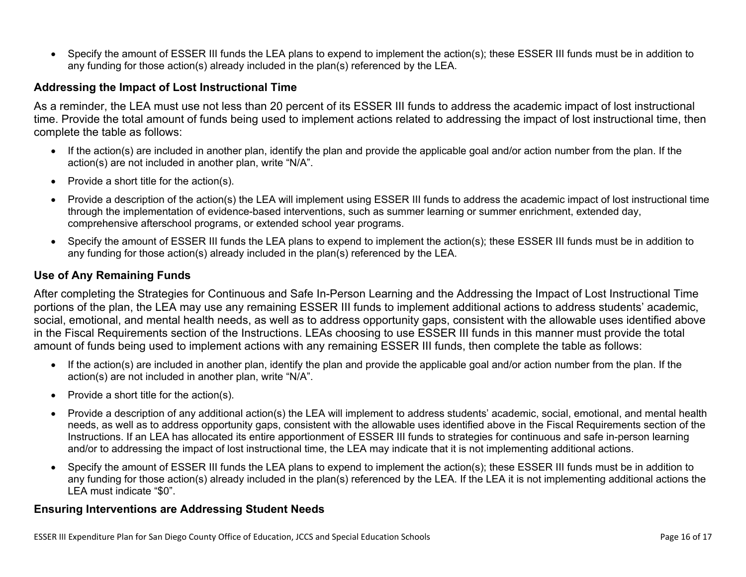Specify the amount of ESSER III funds the LEA plans to expend to implement the action(s); these ESSER III funds must be in addition to any funding for those action(s) already included in the plan(s) referenced by the LEA.

#### <span id="page-15-0"></span>**Addressing the Impact of Lost Instructional Time**

As a reminder, the LEA must use not less than 20 percent of its ESSER III funds to address the academic impact of lost instructional time. Provide the total amount of funds being used to implement actions related to addressing the impact of lost instructional time, then complete the table as follows:

- If the action(s) are included in another plan, identify the plan and provide the applicable goal and/or action number from the plan. If the action(s) are not included in another plan, write "N/A".
- Provide a short title for the  $action(s)$ .
- Provide a description of the action(s) the LEA will implement using ESSER III funds to address the academic impact of lost instructional time through the implementation of evidence-based interventions, such as summer learning or summer enrichment, extended day, comprehensive afterschool programs, or extended school year programs.
- Specify the amount of ESSER III funds the LEA plans to expend to implement the action(s); these ESSER III funds must be in addition to any funding for those action(s) already included in the plan(s) referenced by the LEA.

#### <span id="page-15-1"></span>**Use of Any Remaining Funds**

After completing the Strategies for Continuous and Safe In-Person Learning and the Addressing the Impact of Lost Instructional Time portions of the plan, the LEA may use any remaining ESSER III funds to implement additional actions to address students' academic, social, emotional, and mental health needs, as well as to address opportunity gaps, consistent with the allowable uses identified above in the Fiscal Requirements section of the Instructions. LEAs choosing to use ESSER III funds in this manner must provide the total amount of funds being used to implement actions with any remaining ESSER III funds, then complete the table as follows:

- If the action(s) are included in another plan, identify the plan and provide the applicable goal and/or action number from the plan. If the action(s) are not included in another plan, write "N/A".
- Provide a short title for the  $action(s)$ .
- Provide a description of any additional action(s) the LEA will implement to address students' academic, social, emotional, and mental health needs, as well as to address opportunity gaps, consistent with the allowable uses identified above in the Fiscal Requirements section of the Instructions. If an LEA has allocated its entire apportionment of ESSER III funds to strategies for continuous and safe in-person learning and/or to addressing the impact of lost instructional time, the LEA may indicate that it is not implementing additional actions.
- Specify the amount of ESSER III funds the LEA plans to expend to implement the action(s); these ESSER III funds must be in addition to any funding for those action(s) already included in the plan(s) referenced by the LEA. If the LEA it is not implementing additional actions the LEA must indicate "\$0".

#### <span id="page-15-2"></span>**Ensuring Interventions are Addressing Student Needs**